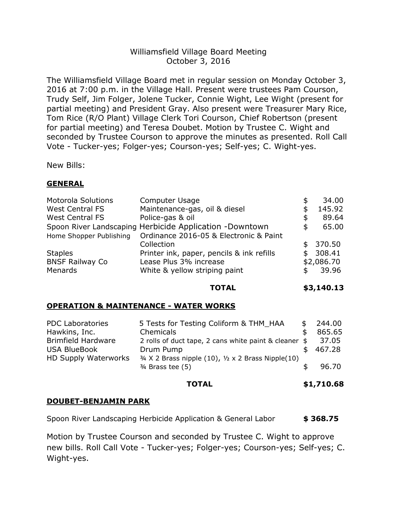## Williamsfield Village Board Meeting October 3, 2016

The Williamsfield Village Board met in regular session on Monday October 3, 2016 at 7:00 p.m. in the Village Hall. Present were trustees Pam Courson, Trudy Self, Jim Folger, Jolene Tucker, Connie Wight, Lee Wight (present for partial meeting) and President Gray. Also present were Treasurer Mary Rice, Tom Rice (R/O Plant) Village Clerk Tori Courson, Chief Robertson (present for partial meeting) and Teresa Doubet. Motion by Trustee C. Wight and seconded by Trustee Courson to approve the minutes as presented. Roll Call Vote - Tucker-yes; Folger-yes; Courson-yes; Self-yes; C. Wight-yes.

New Bills:

## **GENERAL**

| <b>Motorola Solutions</b> | <b>Computer Usage</b>                                           |    | 34.00      |
|---------------------------|-----------------------------------------------------------------|----|------------|
| <b>West Central FS</b>    | Maintenance-gas, oil & diesel                                   | S  | 145.92     |
| <b>West Central FS</b>    | Police-gas & oil                                                | \$ | 89.64      |
|                           | Spoon River Landscaping Herbicide Application -Downtown         | \$ | 65.00      |
|                           | Home Shopper Publishing  Ordinance 2016-05 & Electronic & Paint |    |            |
|                           | Collection                                                      |    | \$370.50   |
| <b>Staples</b>            | Printer ink, paper, pencils & ink refills                       | \$ | 308.41     |
| <b>BNSF Railway Co</b>    | Lease Plus 3% increase                                          |    | \$2,086.70 |
| Menards                   | White & yellow striping paint                                   | S  | 39.96      |

**TOTAL \$3,140.13**

### **OPERATION & MAINTENANCE - WATER WORKS**

| <b>PDC Laboratories</b>     | 5 Tests for Testing Coliform & THM HAA                                  | \$<br>244.00 |
|-----------------------------|-------------------------------------------------------------------------|--------------|
| Hawkins, Inc.               | Chemicals                                                               | 865.65       |
| <b>Brimfield Hardware</b>   | 2 rolls of duct tape, 2 cans white paint & cleaner \$                   | 37.05        |
| <b>USA BlueBook</b>         | Drum Pump                                                               | 467.28       |
| <b>HD Supply Waterworks</b> | $\frac{3}{4}$ X 2 Brass nipple (10), $\frac{1}{2}$ x 2 Brass Nipple(10) |              |
|                             | $3/4$ Brass tee $(5)$                                                   | 96.70        |
|                             |                                                                         |              |

#### **TOTAL \$1,710.68**

### **DOUBET-BENJAMIN PARK**

Spoon River Landscaping Herbicide Application & General Labor **\$ 368.75**

Motion by Trustee Courson and seconded by Trustee C. Wight to approve new bills. Roll Call Vote - Tucker-yes; Folger-yes; Courson-yes; Self-yes; C. Wight-yes.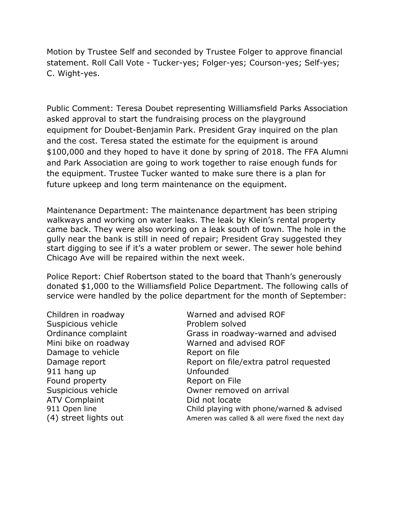Motion by Trustee Self and seconded by Trustee Folger to approve financial statement. Roll Call Vote - Tucker-yes; Folger-yes; Courson-yes; Self-yes; C. Wight-yes.

Public Comment: Teresa Doubet representing Williamsfield Parks Association asked approval to start the fundraising process on the playground equipment for Doubet-Benjamin Park. President Gray inquired on the plan and the cost. Teresa stated the estimate for the equipment is around \$100,000 and they hoped to have it done by spring of 2018. The FFA Alumni and Park Association are going to work together to raise enough funds for the equipment. Trustee Tucker wanted to make sure there is a plan for future upkeep and long term maintenance on the equipment.

Maintenance Department: The maintenance department has been striping walkways and working on water leaks. The leak by Klein's rental property came back. They were also working on a leak south of town. The hole in the gully near the bank is still in need of repair; President Gray suggested they start digging to see if it's a water problem or sewer. The sewer hole behind Chicago Ave will be repaired within the next week.

Police Report: Chief Robertson stated to the board that Thanh's generously donated \$1,000 to the Williamsfield Police Department. The following calls of service were handled by the police department for the month of September:

Suspicious vehicle **EXACCE REPARTMENT PROBLEM** solved Damage to vehicle Report on file 911 hang up Unfounded Found property **Report on File** ATV Complaint Did not locate

Children in roadway Warned and advised ROF Ordinance complaint Grass in roadway-warned and advised Mini bike on roadway Warned and advised ROF Damage report **Report on file/extra patrol requested** Suspicious vehicle **Case Council** Owner removed on arrival 911 Open line Child playing with phone/warned & advised (4) street lights out and ameren was called & all were fixed the next day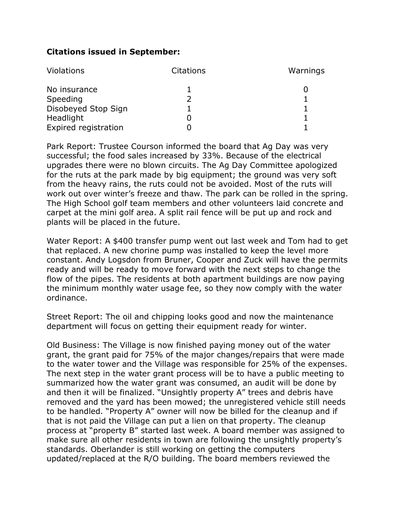# **Citations issued in September:**

| Violations           | <b>Citations</b> | Warnings |
|----------------------|------------------|----------|
| No insurance         |                  |          |
| Speeding             |                  |          |
| Disobeyed Stop Sign  |                  |          |
| Headlight            |                  |          |
| Expired registration |                  |          |

Park Report: Trustee Courson informed the board that Ag Day was very successful; the food sales increased by 33%. Because of the electrical upgrades there were no blown circuits. The Ag Day Committee apologized for the ruts at the park made by big equipment; the ground was very soft from the heavy rains, the ruts could not be avoided. Most of the ruts will work out over winter's freeze and thaw. The park can be rolled in the spring. The High School golf team members and other volunteers laid concrete and carpet at the mini golf area. A split rail fence will be put up and rock and plants will be placed in the future.

Water Report: A \$400 transfer pump went out last week and Tom had to get that replaced. A new chorine pump was installed to keep the level more constant. Andy Logsdon from Bruner, Cooper and Zuck will have the permits ready and will be ready to move forward with the next steps to change the flow of the pipes. The residents at both apartment buildings are now paying the minimum monthly water usage fee, so they now comply with the water ordinance.

Street Report: The oil and chipping looks good and now the maintenance department will focus on getting their equipment ready for winter.

Old Business: The Village is now finished paying money out of the water grant, the grant paid for 75% of the major changes/repairs that were made to the water tower and the Village was responsible for 25% of the expenses. The next step in the water grant process will be to have a public meeting to summarized how the water grant was consumed, an audit will be done by and then it will be finalized. "Unsightly property A" trees and debris have removed and the yard has been mowed; the unregistered vehicle still needs to be handled. "Property A" owner will now be billed for the cleanup and if that is not paid the Village can put a lien on that property. The cleanup process at "property B" started last week. A board member was assigned to make sure all other residents in town are following the unsightly property's standards. Oberlander is still working on getting the computers updated/replaced at the R/O building. The board members reviewed the